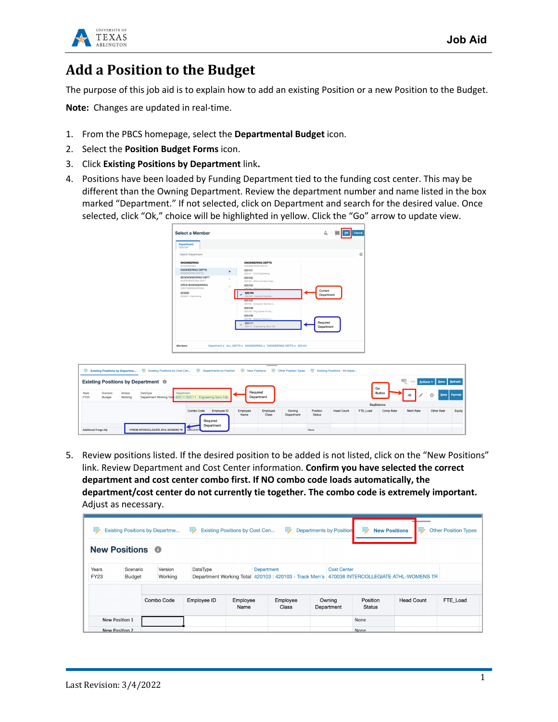

## Add a Position to the Budget

The purpose of this job aid is to explain how to add an existing Position or a new Position to the Budget.

**Note:** Changes are updated in real-time.

- 1. From the PBCS homepage, select the **Departmental Budget** icon.
- 2. Select the **Position Budget Forms** icon.
- 3. Click **Existing Positions by Department** link**.**
- 4. Positions have been loaded by Funding Department tied to the funding cost center. This may be different than the Owning Department. Review the department number and name listed in the box marked "Department." If not selected, click on Department and search for the desired value. Once selected, click "Ok," choice will be highlighted in yellow. Click the "Go" arrow to update view.

| <b>Department</b><br>"625104"                                                                                                                                                                                                     |               |                                                                                                                                                                                                                  |                        |
|-----------------------------------------------------------------------------------------------------------------------------------------------------------------------------------------------------------------------------------|---------------|------------------------------------------------------------------------------------------------------------------------------------------------------------------------------------------------------------------|------------------------|
| Search Department                                                                                                                                                                                                                 |               |                                                                                                                                                                                                                  | 壺                      |
| <b>ENGINEERING</b><br><b>ENGINEERING</b><br><b>ENGINEERING DEPTS</b><br>ENGINEERING DEPTS<br><b>BIOENGINEERING DEPT</b><br><b>BIOFNAINFFRINA DEPT</b><br>ORCE RIOENGEERING<br>ORCE BIOENGEERING<br>625000<br>625000 - Engineering | ь<br>b.<br>b. | <b>ENGINEERING DEPTS</b><br>ENGINEERING DEPTS<br>625101<br>625101 - Civil Engineering<br>625102<br>625102 - Mech and Aero Engi<br>625103<br>625103 - Flerminal Finninge<br>625104<br>625104 - Industrial Enginee | Current<br>Department  |
|                                                                                                                                                                                                                                   |               | 625105<br>625105 - Computer Science a<br>625108<br>625108 - Eng Center for Dis<br>625109<br>625109 - Material Science a<br>625111<br>625111 - Engineering Nano Fab                                               | Required<br>Department |
|                                                                                                                                                                                                                                   |               |                                                                                                                                                                                                                  |                        |

| ₩             | Existing Positions by Departme W Existing Positions by Cost Cen W Departments by Position W New Positions W Other Position Types W Existing Positions - All Depar |                    |                                                    |                                       |                  |                        |                      |                           |                   |          |           |            |            |        |
|---------------|-------------------------------------------------------------------------------------------------------------------------------------------------------------------|--------------------|----------------------------------------------------|---------------------------------------|------------------|------------------------|----------------------|---------------------------|-------------------|----------|-----------|------------|------------|--------|
|               | <b>Actions v Save Refresh</b><br>Existing Positions by Department <sup>®</sup>                                                                                    |                    |                                                    |                                       |                  |                        |                      |                           |                   |          |           |            |            |        |
| Years<br>FY23 | Scenario<br>Budget                                                                                                                                                | Version<br>Working | DataType<br>Department Working Total 625111:625111 | Department<br>- Engineering           |                  | Required<br>Department |                      |                           |                   | Go       | Button    |            | Data       | Format |
|               |                                                                                                                                                                   |                    |                                                    |                                       |                  |                        |                      |                           | BegBalance        |          |           |            |            |        |
|               |                                                                                                                                                                   |                    |                                                    | Employee ID<br>Combo Code<br>Required | Employee<br>Name | Employee<br>Class      | Owning<br>Department | Position<br><b>Status</b> | <b>Head Count</b> | FTE Load | Comp Rate | Merit Rate | Other Rate | Equity |
|               | Additional Fringe Adi                                                                                                                                             |                    | 470038 INTERCOLLEGIATE ATHL-WOMENS TR              | Department<br>100131474               |                  |                        |                      | None                      |                   |          |           |            |            |        |

5. Review positions listed. If the desired position to be added is not listed, click on the "New Positions" link. Review Department and Cost Center information. **Confirm you have selected the correct department and cost center combo first. If NO combo code loads automatically, the department/cost center do not currently tie together. The combo code is extremely important.**  Adjust as necessary.

| Б,<br>黪<br>眇<br>₩<br><b>Existing Positions by Departme</b><br><b>Existing Positions by Cost Cen</b><br><b>Departments by Position</b><br><b>New Positions</b><br><b>IF 23</b> |                                  |            |             |                  |                   |                      |                                                                                              |                   | <b>Other Position Types</b> |  |  |
|-------------------------------------------------------------------------------------------------------------------------------------------------------------------------------|----------------------------------|------------|-------------|------------------|-------------------|----------------------|----------------------------------------------------------------------------------------------|-------------------|-----------------------------|--|--|
| <b>New Positions O</b>                                                                                                                                                        |                                  |            |             |                  |                   |                      |                                                                                              |                   |                             |  |  |
| Years<br>Version<br>Scenario<br><b>FY23</b><br>Working<br>Budget                                                                                                              |                                  | DataType   |             | Department       |                   | <b>Cost Center</b>   | Department Working Total 420103 : 420103 - Track Men's 470038 INTERCOLLEGIATE ATHL-WOMENS TR |                   |                             |  |  |
|                                                                                                                                                                               |                                  | Combo Code | Employee ID | Employee<br>Name | Employee<br>Class | Owning<br>Department | Position<br><b>Status</b>                                                                    | <b>Head Count</b> | FTE Load                    |  |  |
|                                                                                                                                                                               | New Position 1<br>New Position 2 |            |             |                  |                   |                      | None<br>None                                                                                 |                   |                             |  |  |